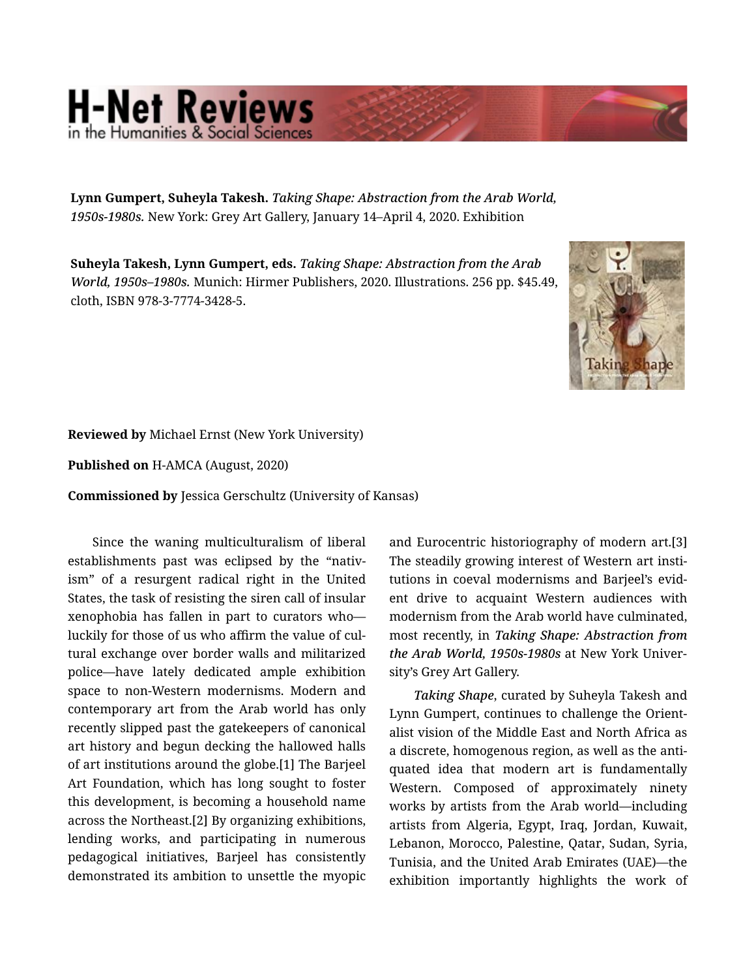## **H-Net Reviews**

Lynn Gumpert, Suheyla Takesh. *Taking Shape: Abstraction from the Arab World, 1950s-1980s.* New York: Grey Art Gallery, January 14–April 4, 2020. Exhibition

Suheyla Takesh, Lynn Gumpert, eds. *Taking Shape: Abstraction from the Arab World, 1950s–1980s.* Munich: Hirmer Publishers, 2020. Illustrations. 256 pp. \$45.49, cloth, ISBN 978-3-7774-3428-5.



## Reviewed by Michael Ernst (New York University)

Published on H-AMCA (August, 2020)

Commissioned by Jessica Gerschultz (University of Kansas)

Since the waning multiculturalism of liberal establishments past was eclipsed by the "nativ‐ ism" of a resurgent radical right in the United States, the task of resisting the siren call of insular xenophobia has fallen in part to curators who luckily for those of us who affirm the value of cul‐ tural exchange over border walls and militarized police—have lately dedicated ample exhibition space to non-Western modernisms. Modern and contemporary art from the Arab world has only recently slipped past the gatekeepers of canonical art history and begun decking the hallowed halls of art institutions around the globe.[1] The Barjeel Art Foundation, which has long sought to foster this development, is becoming a household name across the Northeast.[2] By organizing exhibitions, lending works, and participating in numerous pedagogical initiatives, Barjeel has consistently demonstrated its ambition to unsettle the myopic

and Eurocentric historiography of modern art.[3] The steadily growing interest of Western art insti‐ tutions in coeval modernisms and Barjeel's evid‐ ent drive to acquaint Western audiences with modernism from the Arab world have culminated, most recently, in *Taking Shape: Abstraction from the Arab World, 1950s-1980s* at New York Univer‐ sity's Grey Art Gallery.

*Taking Shape*, curated by Suheyla Takesh and Lynn Gumpert, continues to challenge the Orient‐ alist vision of the Middle East and North Africa as a discrete, homogenous region, as well as the anti‐ quated idea that modern art is fundamentally Western. Composed of approximately ninety works by artists from the Arab world—including artists from Algeria, Egypt, Iraq, Jordan, Kuwait, Lebanon, Morocco, Palestine, Qatar, Sudan, Syria, Tunisia, and the United Arab Emirates (UAE)—the exhibition importantly highlights the work of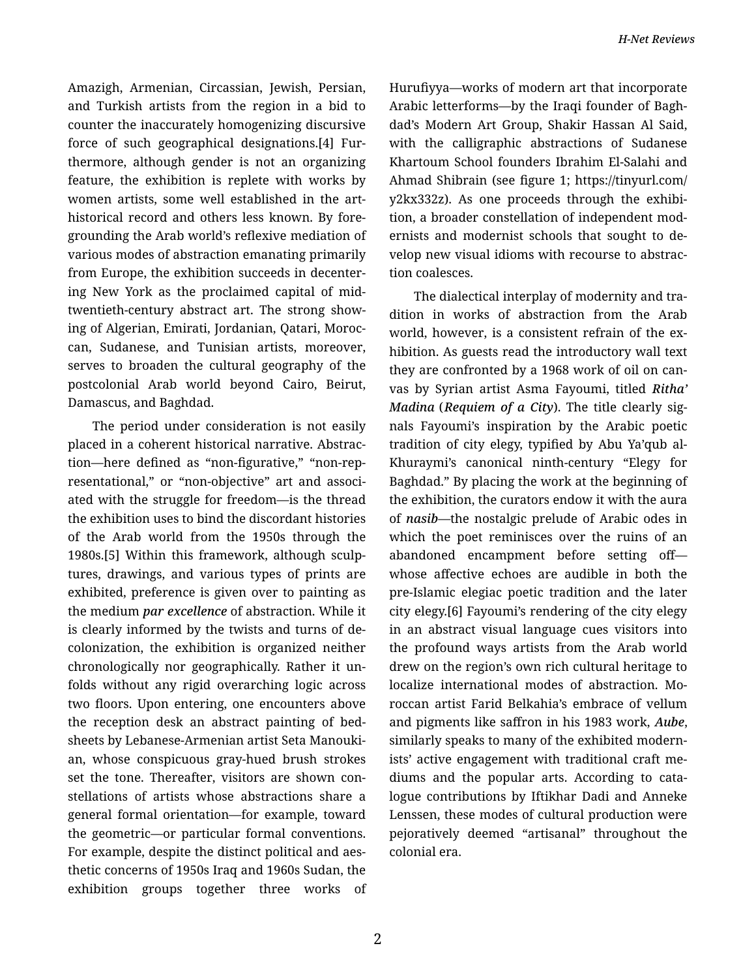Amazigh, Armenian, Circassian, Jewish, Persian, and Turkish artists from the region in a bid to counter the inaccurately homogenizing discursive force of such geographical designations.[4] Fur‐ thermore, although gender is not an organizing feature, the exhibition is replete with works by women artists, some well established in the arthistorical record and others less known. By fore‐ grounding the Arab world's reflexive mediation of various modes of abstraction emanating primarily from Europe, the exhibition succeeds in decenter‐ ing New York as the proclaimed capital of midtwentieth-century abstract art. The strong show‐ ing of Algerian, Emirati, Jordanian, Qatari, Moroc‐ can, Sudanese, and Tunisian artists, moreover, serves to broaden the cultural geography of the postcolonial Arab world beyond Cairo, Beirut, Damascus, and Baghdad.

The period under consideration is not easily placed in a coherent historical narrative. Abstrac‐ tion—here defined as "non-figurative," "non-rep‐ resentational," or "non-objective" art and associ‐ ated with the struggle for freedom—is the thread the exhibition uses to bind the discordant histories of the Arab world from the 1950s through the 1980s.[5] Within this framework, although sculp‐ tures, drawings, and various types of prints are exhibited, preference is given over to painting as the medium *par excellence* of abstraction. While it is clearly informed by the twists and turns of de‐ colonization, the exhibition is organized neither chronologically nor geographically. Rather it un‐ folds without any rigid overarching logic across two floors. Upon entering, one encounters above the reception desk an abstract painting of bed‐ sheets by Lebanese-Armenian artist Seta Manouki‐ an, whose conspicuous gray-hued brush strokes set the tone. Thereafter, visitors are shown constellations of artists whose abstractions share a general formal orientation—for example, toward the geometric—or particular formal conventions. For example, despite the distinct political and aes‐ thetic concerns of 1950s Iraq and 1960s Sudan, the exhibition groups together three works of Hurufiyya—works of modern art that incorporate Arabic letterforms—by the Iraqi founder of Bagh‐ dad's Modern Art Group, Shakir Hassan Al Said, with the calligraphic abstractions of Sudanese Khartoum School founders Ibrahim El-Salahi and Ahmad Shibrain (see figure 1; https://tinyurl.com/ y2kx332z). As one proceeds through the exhibi‐ tion, a broader constellation of independent mod‐ ernists and modernist schools that sought to de‐ velop new visual idioms with recourse to abstrac‐ tion coalesces.

The dialectical interplay of modernity and tra‐ dition in works of abstraction from the Arab world, however, is a consistent refrain of the exhibition. As guests read the introductory wall text they are confronted by a 1968 work of oil on can‐ vas by Syrian artist Asma Fayoumi, titled *Ritha' Madina* (*Requiem of a City*). The title clearly sig‐ nals Fayoumi's inspiration by the Arabic poetic tradition of city elegy, typified by Abu Ya'qub al-Khuraymi's canonical ninth-century "Elegy for Baghdad." By placing the work at the beginning of the exhibition, the curators endow it with the aura of *nasib*—the nostalgic prelude of Arabic odes in which the poet reminisces over the ruins of an abandoned encampment before setting off whose affective echoes are audible in both the pre-Islamic elegiac poetic tradition and the later city elegy.[6] Fayoumi's rendering of the city elegy in an abstract visual language cues visitors into the profound ways artists from the Arab world drew on the region's own rich cultural heritage to localize international modes of abstraction. Mo‐ roccan artist Farid Belkahia's embrace of vellum and pigments like saffron in his 1983 work, *Aube*, similarly speaks to many of the exhibited modern‐ ists' active engagement with traditional craft me‐ diums and the popular arts. According to cata‐ logue contributions by Iftikhar Dadi and Anneke Lenssen, these modes of cultural production were pejoratively deemed "artisanal" throughout the colonial era.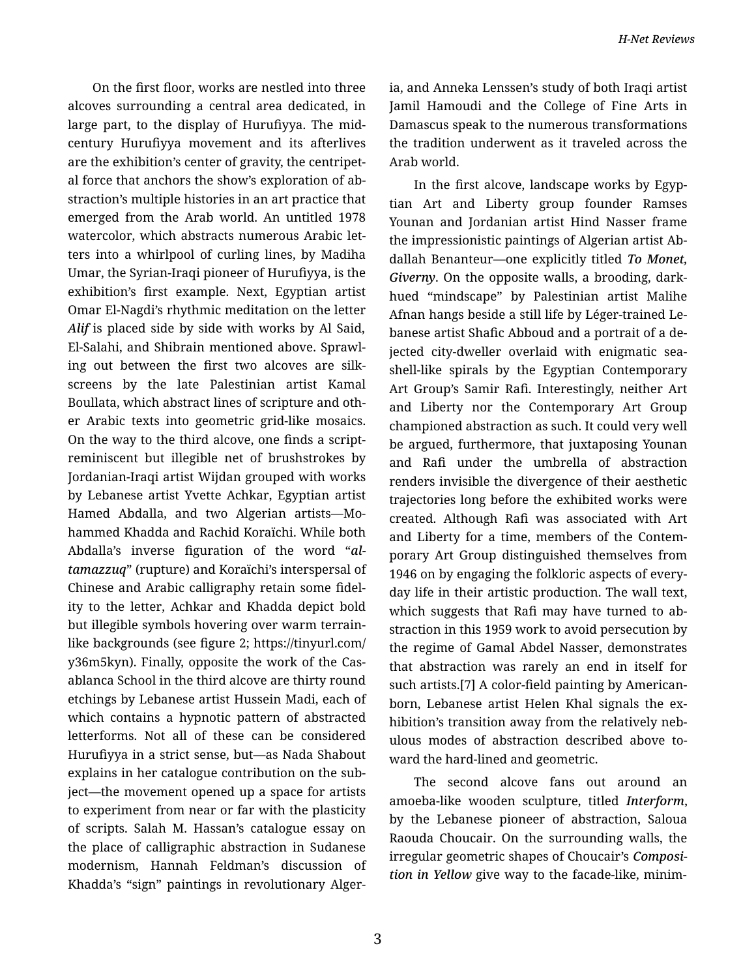On the first floor, works are nestled into three alcoves surrounding a central area dedicated, in large part, to the display of Hurufiyya. The midcentury Hurufiyya movement and its afterlives are the exhibition's center of gravity, the centripet‐ al force that anchors the show's exploration of ab‐ straction's multiple histories in an art practice that emerged from the Arab world. An untitled 1978 watercolor, which abstracts numerous Arabic let‐ ters into a whirlpool of curling lines, by Madiha Umar, the Syrian-Iraqi pioneer of Hurufiyya, is the exhibition's first example. Next, Egyptian artist Omar El-Nagdi's rhythmic meditation on the letter *Alif* is placed side by side with works by Al Said, El-Salahi, and Shibrain mentioned above. Sprawl‐ ing out between the first two alcoves are silk‐ screens by the late Palestinian artist Kamal Boullata, which abstract lines of scripture and oth‐ er Arabic texts into geometric grid-like mosaics. On the way to the third alcove, one finds a scriptreminiscent but illegible net of brushstrokes by Jordanian-Iraqi artist Wijdan grouped with works by Lebanese artist Yvette Achkar, Egyptian artist Hamed Abdalla, and two Algerian artists—Mo‐ hammed Khadda and Rachid Koraïchi. While both Abdalla's inverse figuration of the word "*altamazzuq*" (rupture) and Koraïchi's interspersal of Chinese and Arabic calligraphy retain some fidel‐ ity to the letter, Achkar and Khadda depict bold but illegible symbols hovering over warm terrainlike backgrounds (see figure 2; https://tinyurl.com/ y36m5kyn). Finally, opposite the work of the Cas‐ ablanca School in the third alcove are thirty round etchings by Lebanese artist Hussein Madi, each of which contains a hypnotic pattern of abstracted letterforms. Not all of these can be considered Hurufiyya in a strict sense, but—as Nada Shabout explains in her catalogue contribution on the sub‐ ject—the movement opened up a space for artists to experiment from near or far with the plasticity of scripts. Salah M. Hassan's catalogue essay on the place of calligraphic abstraction in Sudanese modernism, Hannah Feldman's discussion of Khadda's "sign" paintings in revolutionary Alger‐

ia, and Anneka Lenssen's study of both Iraqi artist Jamil Hamoudi and the College of Fine Arts in Damascus speak to the numerous transformations the tradition underwent as it traveled across the Arab world.

In the first alcove, landscape works by Egyp‐ tian Art and Liberty group founder Ramses Younan and Jordanian artist Hind Nasser frame the impressionistic paintings of Algerian artist Ab‐ dallah Benanteur—one explicitly titled *To Monet, Giverny*. On the opposite walls, a brooding, darkhued "mindscape" by Palestinian artist Malihe Afnan hangs beside a still life by Léger-trained Le‐ banese artist Shafic Abboud and a portrait of a de‐ jected city-dweller overlaid with enigmatic sea‐ shell-like spirals by the Egyptian Contemporary Art Group's Samir Rafi. Interestingly, neither Art and Liberty nor the Contemporary Art Group championed abstraction as such. It could very well be argued, furthermore, that juxtaposing Younan and Rafi under the umbrella of abstraction renders invisible the divergence of their aesthetic trajectories long before the exhibited works were created. Although Rafi was associated with Art and Liberty for a time, members of the Contem‐ porary Art Group distinguished themselves from 1946 on by engaging the folkloric aspects of every‐ day life in their artistic production. The wall text, which suggests that Rafi may have turned to abstraction in this 1959 work to avoid persecution by the regime of Gamal Abdel Nasser, demonstrates that abstraction was rarely an end in itself for such artists.[7] A color-field painting by Americanborn, Lebanese artist Helen Khal signals the ex‐ hibition's transition away from the relatively neb‐ ulous modes of abstraction described above to‐ ward the hard-lined and geometric.

The second alcove fans out around an amoeba-like wooden sculpture, titled *Interform*, by the Lebanese pioneer of abstraction, Saloua Raouda Choucair. On the surrounding walls, the irregular geometric shapes of Choucair's *Composi‐ tion in Yellow* give way to the facade-like, minim‐

3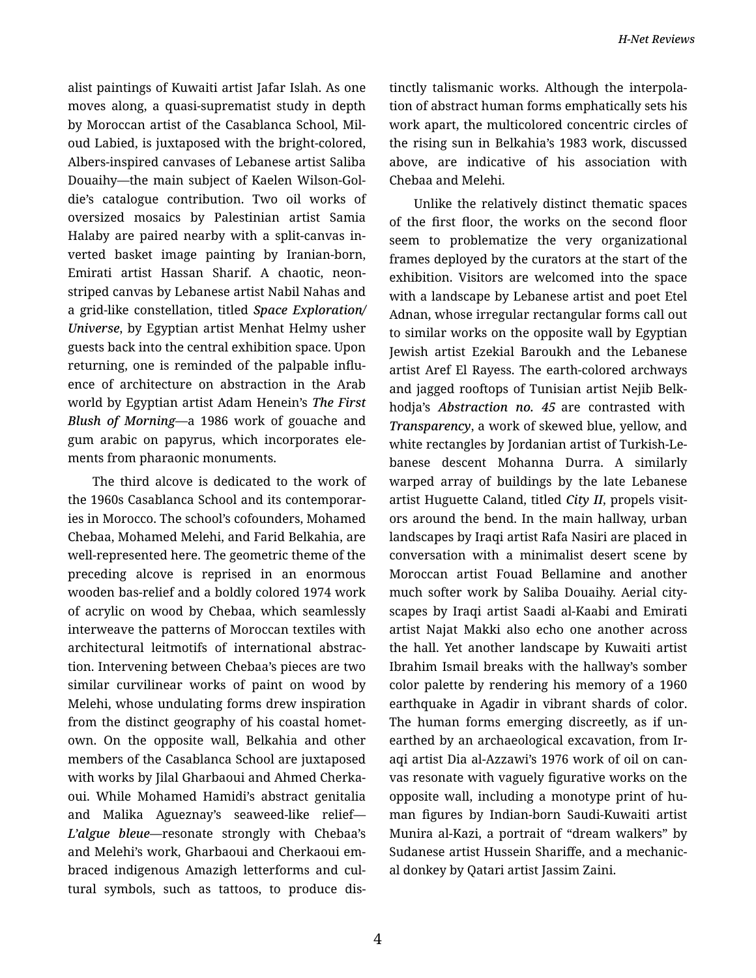alist paintings of Kuwaiti artist Jafar Islah. As one moves along, a quasi-suprematist study in depth by Moroccan artist of the Casablanca School, Mil‐ oud Labied, is juxtaposed with the bright-colored, Albers-inspired canvases of Lebanese artist Saliba Douaihy—the main subject of Kaelen Wilson-Gol‐ die's catalogue contribution. Two oil works of oversized mosaics by Palestinian artist Samia Halaby are paired nearby with a split-canvas in‐ verted basket image painting by Iranian-born, Emirati artist Hassan Sharif. A chaotic, neonstriped canvas by Lebanese artist Nabil Nahas and a grid-like constellation, titled *Space Exploration/ Universe*, by Egyptian artist Menhat Helmy usher guests back into the central exhibition space. Upon returning, one is reminded of the palpable influ‐ ence of architecture on abstraction in the Arab world by Egyptian artist Adam Henein's *The First Blush of Morning*—a 1986 work of gouache and gum arabic on papyrus, which incorporates ele‐ ments from pharaonic monuments.

The third alcove is dedicated to the work of the 1960s Casablanca School and its contemporar‐ ies in Morocco. The school's cofounders, Mohamed Chebaa, Mohamed Melehi, and Farid Belkahia, are well-represented here. The geometric theme of the preceding alcove is reprised in an enormous wooden bas-relief and a boldly colored 1974 work of acrylic on wood by Chebaa, which seamlessly interweave the patterns of Moroccan textiles with architectural leitmotifs of international abstrac‐ tion. Intervening between Chebaa's pieces are two similar curvilinear works of paint on wood by Melehi, whose undulating forms drew inspiration from the distinct geography of his coastal homet‐ own. On the opposite wall, Belkahia and other members of the Casablanca School are juxtaposed with works by Jilal Gharbaoui and Ahmed Cherka‐ oui. While Mohamed Hamidi's abstract genitalia and Malika Agueznay's seaweed-like relief— *L'algue bleue*—resonate strongly with Chebaa's and Melehi's work, Gharbaoui and Cherkaoui em‐ braced indigenous Amazigh letterforms and cul‐ tural symbols, such as tattoos, to produce dis‐ tinctly talismanic works. Although the interpola‐ tion of abstract human forms emphatically sets his work apart, the multicolored concentric circles of the rising sun in Belkahia's 1983 work, discussed above, are indicative of his association with Chebaa and Melehi.

Unlike the relatively distinct thematic spaces of the first floor, the works on the second floor seem to problematize the very organizational frames deployed by the curators at the start of the exhibition. Visitors are welcomed into the space with a landscape by Lebanese artist and poet Etel Adnan, whose irregular rectangular forms call out to similar works on the opposite wall by Egyptian Jewish artist Ezekial Baroukh and the Lebanese artist Aref El Rayess. The earth-colored archways and jagged rooftops of Tunisian artist Nejib Belk‐ hodja's *Abstraction no. 45* are contrasted with *Transparency*, a work of skewed blue, yellow, and white rectangles by Jordanian artist of Turkish-Le‐ banese descent Mohanna Durra. A similarly warped array of buildings by the late Lebanese artist Huguette Caland, titled *City II*, propels visit‐ ors around the bend. In the main hallway, urban landscapes by Iraqi artist Rafa Nasiri are placed in conversation with a minimalist desert scene by Moroccan artist Fouad Bellamine and another much softer work by Saliba Douaihy. Aerial city‐ scapes by Iraqi artist Saadi al-Kaabi and Emirati artist Najat Makki also echo one another across the hall. Yet another landscape by Kuwaiti artist Ibrahim Ismail breaks with the hallway's somber color palette by rendering his memory of a 1960 earthquake in Agadir in vibrant shards of color. The human forms emerging discreetly, as if un‐ earthed by an archaeological excavation, from Ir‐ aqi artist Dia al-Azzawi's 1976 work of oil on can‐ vas resonate with vaguely figurative works on the opposite wall, including a monotype print of hu‐ man figures by Indian-born Saudi-Kuwaiti artist Munira al-Kazi, a portrait of "dream walkers" by Sudanese artist Hussein Shariffe, and a mechanic‐ al donkey by Qatari artist Jassim Zaini.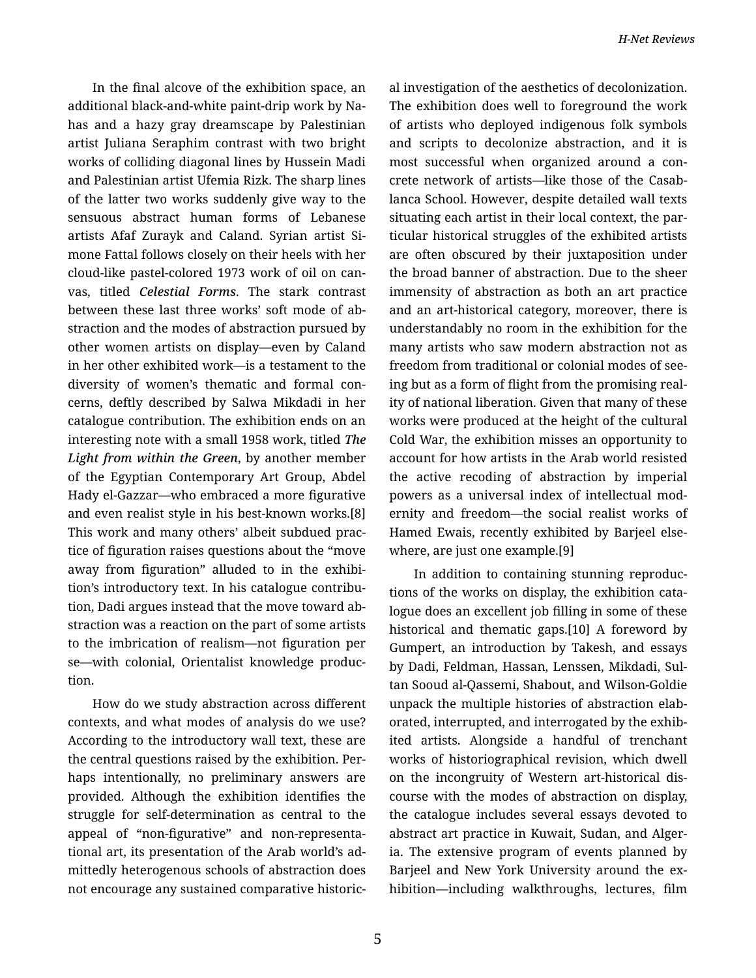In the final alcove of the exhibition space, an additional black-and-white paint-drip work by Na‐ has and a hazy gray dreamscape by Palestinian artist Juliana Seraphim contrast with two bright works of colliding diagonal lines by Hussein Madi and Palestinian artist Ufemia Rizk. The sharp lines of the latter two works suddenly give way to the sensuous abstract human forms of Lebanese artists Afaf Zurayk and Caland. Syrian artist Si‐ mone Fattal follows closely on their heels with her cloud-like pastel-colored 1973 work of oil on can‐ vas, titled *Celestial Forms*. The stark contrast between these last three works' soft mode of ab‐ straction and the modes of abstraction pursued by other women artists on display—even by Caland in her other exhibited work—is a testament to the diversity of women's thematic and formal con‐ cerns, deftly described by Salwa Mikdadi in her catalogue contribution. The exhibition ends on an interesting note with a small 1958 work, titled *The Light from within the Green*, by another member of the Egyptian Contemporary Art Group, Abdel Hady el-Gazzar—who embraced a more figurative and even realist style in his best-known works.[8] This work and many others' albeit subdued prac‐ tice of figuration raises questions about the "move away from figuration" alluded to in the exhibi‐ tion's introductory text. In his catalogue contribu‐ tion, Dadi argues instead that the move toward ab‐ straction was a reaction on the part of some artists to the imbrication of realism—not figuration per se—with colonial, Orientalist knowledge produc‐ tion.

How do we study abstraction across different contexts, and what modes of analysis do we use? According to the introductory wall text, these are the central questions raised by the exhibition. Per‐ haps intentionally, no preliminary answers are provided. Although the exhibition identifies the struggle for self-determination as central to the appeal of "non-figurative" and non-representa‐ tional art, its presentation of the Arab world's ad‐ mittedly heterogenous schools of abstraction does not encourage any sustained comparative historic‐ al investigation of the aesthetics of decolonization. The exhibition does well to foreground the work of artists who deployed indigenous folk symbols and scripts to decolonize abstraction, and it is most successful when organized around a con‐ crete network of artists—like those of the Casab‐ lanca School. However, despite detailed wall texts situating each artist in their local context, the par‐ ticular historical struggles of the exhibited artists are often obscured by their juxtaposition under the broad banner of abstraction. Due to the sheer immensity of abstraction as both an art practice and an art-historical category, moreover, there is understandably no room in the exhibition for the many artists who saw modern abstraction not as freedom from traditional or colonial modes of see‐ ing but as a form of flight from the promising real‐ ity of national liberation. Given that many of these works were produced at the height of the cultural Cold War, the exhibition misses an opportunity to account for how artists in the Arab world resisted the active recoding of abstraction by imperial powers as a universal index of intellectual mod‐ ernity and freedom—the social realist works of Hamed Ewais, recently exhibited by Barjeel else‐ where, are just one example.[9]

In addition to containing stunning reproduc‐ tions of the works on display, the exhibition cata‐ logue does an excellent job filling in some of these historical and thematic gaps.[10] A foreword by Gumpert, an introduction by Takesh, and essays by Dadi, Feldman, Hassan, Lenssen, Mikdadi, Sul‐ tan Sooud al-Qassemi, Shabout, and Wilson-Goldie unpack the multiple histories of abstraction elab‐ orated, interrupted, and interrogated by the exhib‐ ited artists. Alongside a handful of trenchant works of historiographical revision, which dwell on the incongruity of Western art-historical dis‐ course with the modes of abstraction on display, the catalogue includes several essays devoted to abstract art practice in Kuwait, Sudan, and Alger‐ ia. The extensive program of events planned by Barjeel and New York University around the ex‐ hibition—including walkthroughs, lectures, film

5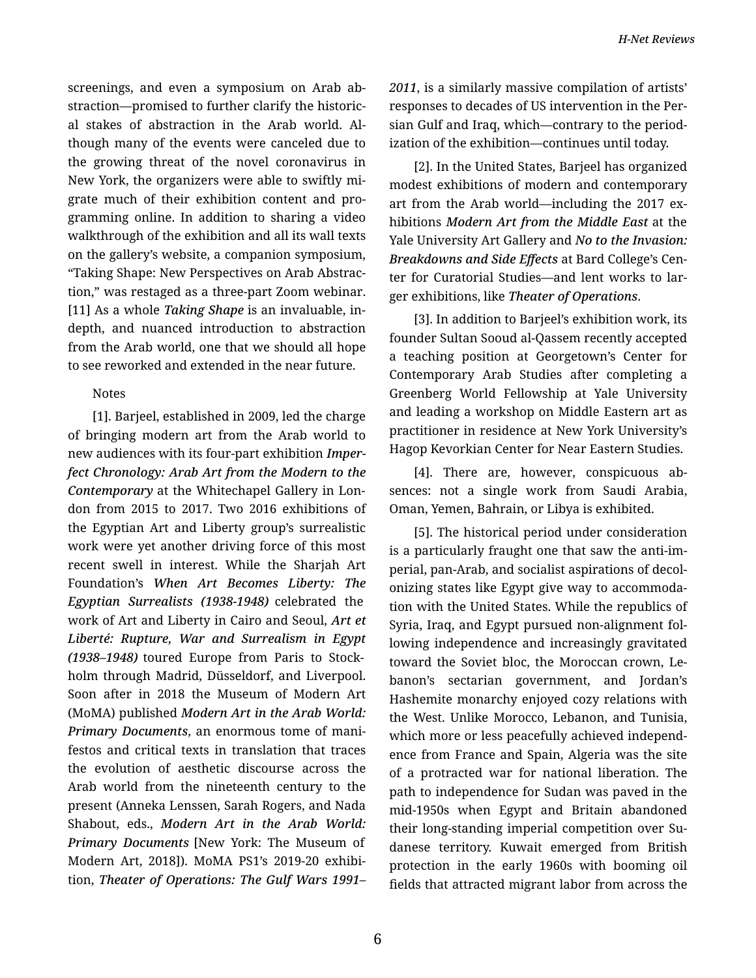screenings, and even a symposium on Arab ab‐ straction—promised to further clarify the historic‐ al stakes of abstraction in the Arab world. Al‐ though many of the events were canceled due to the growing threat of the novel coronavirus in New York, the organizers were able to swiftly mi‐ grate much of their exhibition content and pro‐ gramming online. In addition to sharing a video walkthrough of the exhibition and all its wall texts on the gallery's website, a companion symposium, "Taking Shape: New Perspectives on Arab Abstrac‐ tion," was restaged as a three-part Zoom webinar. [11] As a whole *Taking Shape* is an invaluable, indepth, and nuanced introduction to abstraction from the Arab world, one that we should all hope to see reworked and extended in the near future.

## Notes

[1]. Barjeel, established in 2009, led the charge of bringing modern art from the Arab world to new audiences with its four-part exhibition *Imper‐ fect Chronology: Arab Art from the Modern to the Contemporary* at the Whitechapel Gallery in Lon‐ don from 2015 to 2017. Two 2016 exhibitions of the Egyptian Art and Liberty group's surrealistic work were yet another driving force of this most recent swell in interest. While the Sharjah Art Foundation's *When Art Becomes Liberty: The Egyptian Surrealists (1938-1948)* celebrated the work of Art and Liberty in Cairo and Seoul, *Art et Liberté: Rupture, War and Surrealism in Egypt (1938–1948)* toured Europe from Paris to Stock‐ holm through Madrid, Düsseldorf, and Liverpool. Soon after in 2018 the Museum of Modern Art (MoMA) published *Modern Art in the Arab World: Primary Documents*, an enormous tome of mani‐ festos and critical texts in translation that traces the evolution of aesthetic discourse across the Arab world from the nineteenth century to the present (Anneka Lenssen, Sarah Rogers, and Nada Shabout, eds., *Modern Art in the Arab World: Primary Documents* [New York: The Museum of Modern Art, 2018]). MoMA PS1's 2019-20 exhibi‐ tion, *Theater of Operations: The Gulf Wars 1991–*

*2011*, is a similarly massive compilation of artists' responses to decades of US intervention in the Per‐ sian Gulf and Iraq, which—contrary to the period‐ ization of the exhibition—continues until today.

[2]. In the United States, Barjeel has organized modest exhibitions of modern and contemporary art from the Arab world—including the 2017 exhibitions *Modern Art from the Middle East* at the Yale University Art Gallery and *No to the Invasion: Breakdowns and Side Effects* at Bard College's Cen‐ ter for Curatorial Studies—and lent works to lar‐ ger exhibitions, like *Theater of Operations*.

[3]. In addition to Barjeel's exhibition work, its founder Sultan Sooud al-Qassem recently accepted a teaching position at Georgetown's Center for Contemporary Arab Studies after completing a Greenberg World Fellowship at Yale University and leading a workshop on Middle Eastern art as practitioner in residence at New York University's Hagop Kevorkian Center for Near Eastern Studies.

[4]. There are, however, conspicuous ab‐ sences: not a single work from Saudi Arabia, Oman, Yemen, Bahrain, or Libya is exhibited.

[5]. The historical period under consideration is a particularly fraught one that saw the anti-im‐ perial, pan-Arab, and socialist aspirations of decol‐ onizing states like Egypt give way to accommoda‐ tion with the United States. While the republics of Syria, Iraq, and Egypt pursued non-alignment fol‐ lowing independence and increasingly gravitated toward the Soviet bloc, the Moroccan crown, Le‐ banon's sectarian government, and Jordan's Hashemite monarchy enjoyed cozy relations with the West. Unlike Morocco, Lebanon, and Tunisia, which more or less peacefully achieved independ‐ ence from France and Spain, Algeria was the site of a protracted war for national liberation. The path to independence for Sudan was paved in the mid-1950s when Egypt and Britain abandoned their long-standing imperial competition over Su‐ danese territory. Kuwait emerged from British protection in the early 1960s with booming oil fields that attracted migrant labor from across the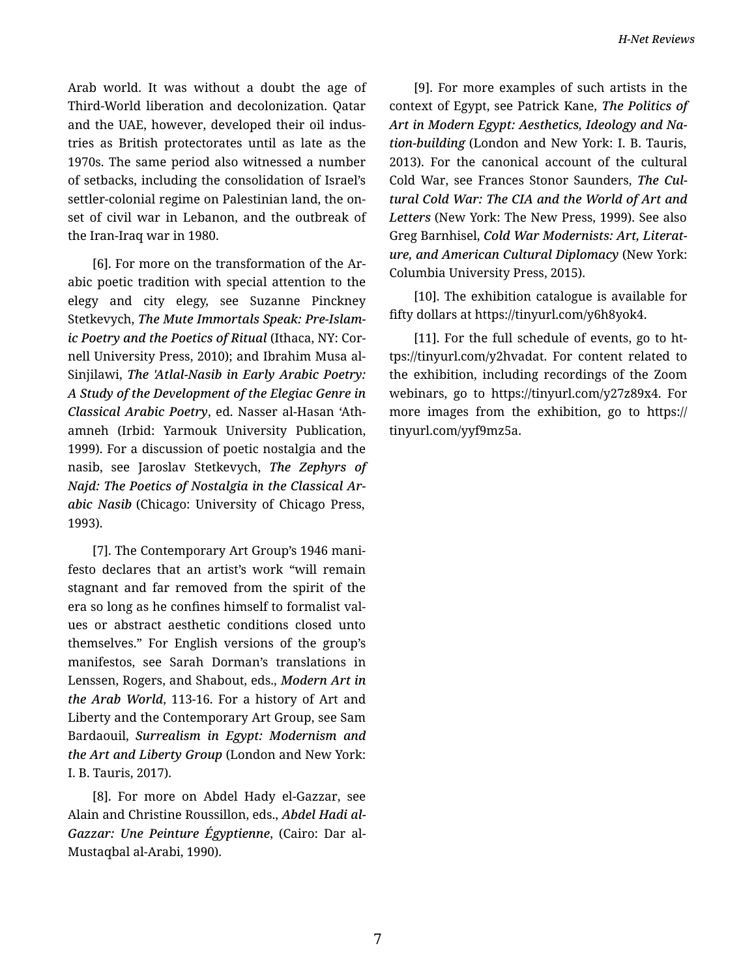Arab world. It was without a doubt the age of Third-World liberation and decolonization. Qatar and the UAE, however, developed their oil indus‐ tries as British protectorates until as late as the 1970s. The same period also witnessed a number of setbacks, including the consolidation of Israel's settler-colonial regime on Palestinian land, the on‐ set of civil war in Lebanon, and the outbreak of the Iran-Iraq war in 1980.

[6]. For more on the transformation of the Ar‐ abic poetic tradition with special attention to the elegy and city elegy, see Suzanne Pinckney Stetkevych, *The Mute Immortals Speak: Pre-Islam‐ ic Poetry and the Poetics of Ritual* (Ithaca, NY: Cor‐ nell University Press, 2010); and Ibrahim Musa al-Sinjilawi, *The 'Atlal-Nasib in Early Arabic Poetry: A Study of the Development of the Elegiac Genre in Classical Arabic Poetry*, ed. Nasser al-Hasan 'Ath‐ amneh (Irbid: Yarmouk University Publication, 1999). For a discussion of poetic nostalgia and the nasib, see Jaroslav Stetkevych, *The Zephyrs of Najd: The Poetics of Nostalgia in the Classical Ar‐ abic Nasib* (Chicago: University of Chicago Press, 1993).

[7]. The Contemporary Art Group's 1946 mani‐ festo declares that an artist's work "will remain stagnant and far removed from the spirit of the era so long as he confines himself to formalist val‐ ues or abstract aesthetic conditions closed unto themselves." For English versions of the group's manifestos, see Sarah Dorman's translations in Lenssen, Rogers, and Shabout, eds., *Modern Art in the Arab World*, 113-16. For a history of Art and Liberty and the Contemporary Art Group, see Sam Bardaouil, *Surrealism in Egypt: Modernism and the Art and Liberty Group* (London and New York: I. B. Tauris, 2017).

[8]. For more on Abdel Hady el-Gazzar, see Alain and Christine Roussillon, eds., *Abdel Hadi al-Gazzar: Une Peinture Égyptienne*, (Cairo: Dar al-Mustaqbal al-Arabi, 1990).

[9]. For more examples of such artists in the context of Egypt, see Patrick Kane, *The Politics of Art in Modern Egypt: Aesthetics, Ideology and Na‐ tion-building* (London and New York: I. B. Tauris, 2013). For the canonical account of the cultural Cold War, see Frances Stonor Saunders, *The Cul‐ tural Cold War: The CIA and the World of Art and Letters* (New York: The New Press, 1999). See also Greg Barnhisel, *Cold War Modernists: Art, Literat‐ ure, and American Cultural Diplomacy* (New York: Columbia University Press, 2015).

[10]. The exhibition catalogue is available for fifty dollars at https://tinyurl.com/y6h8yok4.

[11]. For the full schedule of events, go to ht‐ tps://tinyurl.com/y2hvadat. For content related to the exhibition, including recordings of the Zoom webinars, go to https://tinyurl.com/y27z89x4. For more images from the exhibition, go to https:// tinyurl.com/yyf9mz5a.